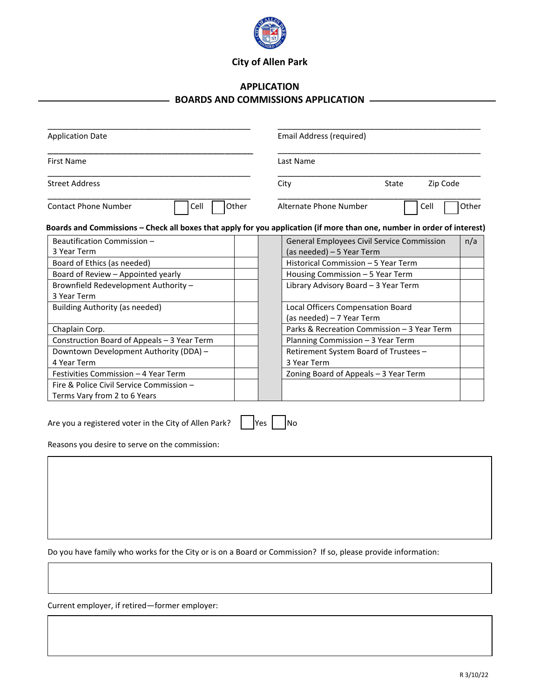

## **City of Allen Park**

## **APPLICATION BOARDS AND COMMISSIONS APPLICATION**

| <b>Application Date</b>                                                                                 | <b>Email Address (required)</b>                                                                                         |
|---------------------------------------------------------------------------------------------------------|-------------------------------------------------------------------------------------------------------------------------|
| <b>First Name</b>                                                                                       | Last Name                                                                                                               |
| <b>Street Address</b>                                                                                   | Zip Code<br>City<br>State                                                                                               |
| Other<br><b>Contact Phone Number</b><br>Cell                                                            | Alternate Phone Number<br>Other<br>Cell                                                                                 |
|                                                                                                         | Boards and Commissions – Check all boxes that apply for you application (if more than one, number in order of interest) |
| Beautification Commission -                                                                             | General Employees Civil Service Commission<br>n/a                                                                       |
| 3 Year Term                                                                                             | (as needed) - 5 Year Term                                                                                               |
| Board of Ethics (as needed)                                                                             | Historical Commission - 5 Year Term                                                                                     |
| Board of Review - Appointed yearly                                                                      | Housing Commission - 5 Year Term                                                                                        |
| Brownfield Redevelopment Authority -                                                                    | Library Advisory Board - 3 Year Term                                                                                    |
| 3 Year Term                                                                                             |                                                                                                                         |
| Building Authority (as needed)                                                                          | Local Officers Compensation Board<br>(as needed) - 7 Year Term                                                          |
| Chaplain Corp.                                                                                          | Parks & Recreation Commission - 3 Year Term                                                                             |
| Construction Board of Appeals - 3 Year Term                                                             | Planning Commission - 3 Year Term                                                                                       |
| Downtown Development Authority (DDA) -                                                                  | Retirement System Board of Trustees -                                                                                   |
| 4 Year Term                                                                                             | 3 Year Term                                                                                                             |
| Festivities Commission - 4 Year Term                                                                    | Zoning Board of Appeals - 3 Year Term                                                                                   |
| Fire & Police Civil Service Commission -                                                                |                                                                                                                         |
| Terms Vary from 2 to 6 Years                                                                            |                                                                                                                         |
| Are you a registered voter in the City of Allen Park?<br>Reasons you desire to serve on the commission: | Yes<br>No                                                                                                               |

Do you have family who works for the City or is on a Board or Commission? If so, please provide information:

Current employer, if retired—former employer: